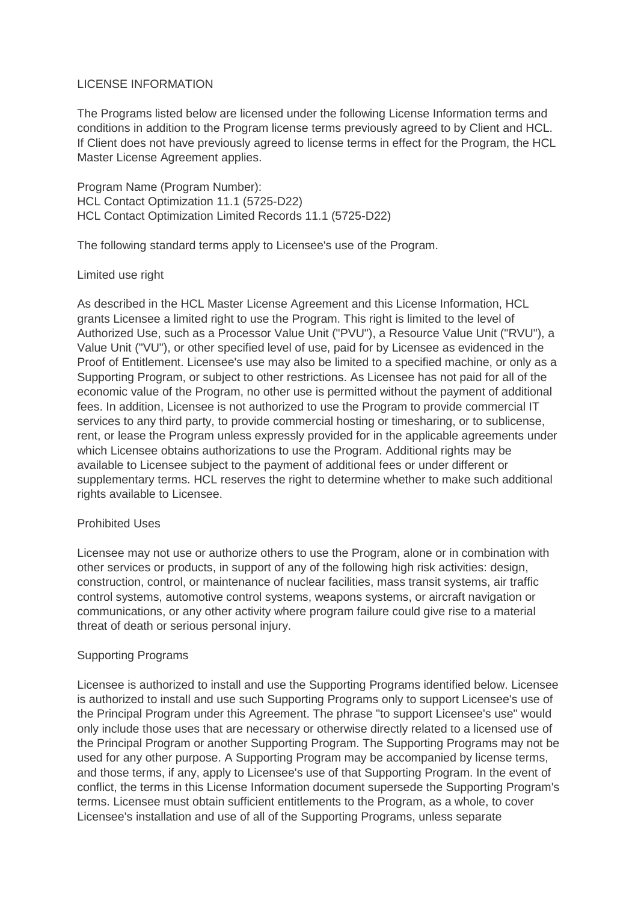## LICENSE INFORMATION

The Programs listed below are licensed under the following License Information terms and conditions in addition to the Program license terms previously agreed to by Client and HCL. If Client does not have previously agreed to license terms in effect for the Program, the HCL Master License Agreement applies.

Program Name (Program Number): HCL Contact Optimization 11.1 (5725-D22) HCL Contact Optimization Limited Records 11.1 (5725-D22)

The following standard terms apply to Licensee's use of the Program.

## Limited use right

As described in the HCL Master License Agreement and this License Information, HCL grants Licensee a limited right to use the Program. This right is limited to the level of Authorized Use, such as a Processor Value Unit ("PVU"), a Resource Value Unit ("RVU"), a Value Unit ("VU"), or other specified level of use, paid for by Licensee as evidenced in the Proof of Entitlement. Licensee's use may also be limited to a specified machine, or only as a Supporting Program, or subject to other restrictions. As Licensee has not paid for all of the economic value of the Program, no other use is permitted without the payment of additional fees. In addition, Licensee is not authorized to use the Program to provide commercial IT services to any third party, to provide commercial hosting or timesharing, or to sublicense, rent, or lease the Program unless expressly provided for in the applicable agreements under which Licensee obtains authorizations to use the Program. Additional rights may be available to Licensee subject to the payment of additional fees or under different or supplementary terms. HCL reserves the right to determine whether to make such additional rights available to Licensee.

## Prohibited Uses

Licensee may not use or authorize others to use the Program, alone or in combination with other services or products, in support of any of the following high risk activities: design, construction, control, or maintenance of nuclear facilities, mass transit systems, air traffic control systems, automotive control systems, weapons systems, or aircraft navigation or communications, or any other activity where program failure could give rise to a material threat of death or serious personal injury.

## Supporting Programs

Licensee is authorized to install and use the Supporting Programs identified below. Licensee is authorized to install and use such Supporting Programs only to support Licensee's use of the Principal Program under this Agreement. The phrase "to support Licensee's use" would only include those uses that are necessary or otherwise directly related to a licensed use of the Principal Program or another Supporting Program. The Supporting Programs may not be used for any other purpose. A Supporting Program may be accompanied by license terms, and those terms, if any, apply to Licensee's use of that Supporting Program. In the event of conflict, the terms in this License Information document supersede the Supporting Program's terms. Licensee must obtain sufficient entitlements to the Program, as a whole, to cover Licensee's installation and use of all of the Supporting Programs, unless separate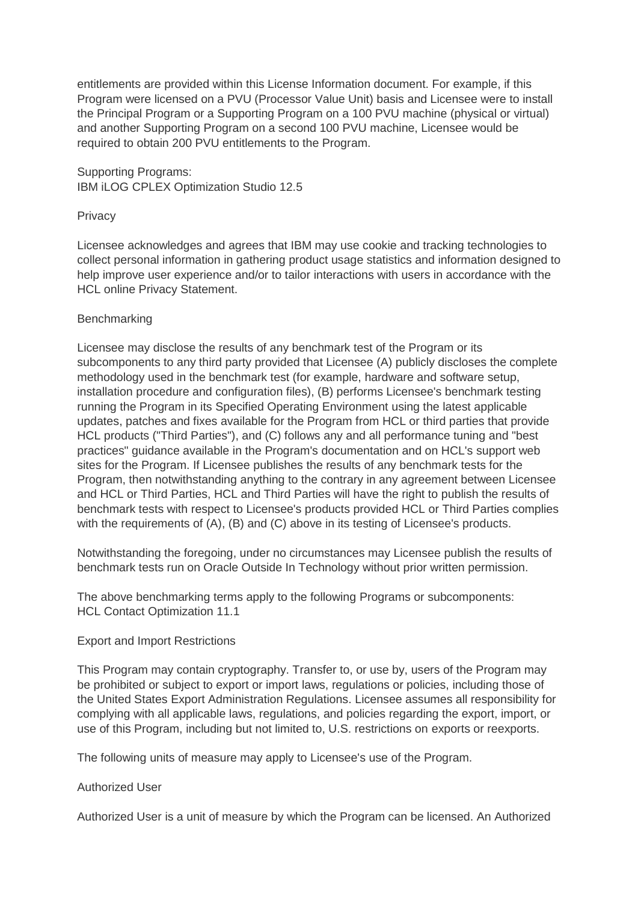entitlements are provided within this License Information document. For example, if this Program were licensed on a PVU (Processor Value Unit) basis and Licensee were to install the Principal Program or a Supporting Program on a 100 PVU machine (physical or virtual) and another Supporting Program on a second 100 PVU machine, Licensee would be required to obtain 200 PVU entitlements to the Program.

Supporting Programs: IBM iLOG CPLEX Optimization Studio 12.5

#### **Privacy**

Licensee acknowledges and agrees that IBM may use cookie and tracking technologies to collect personal information in gathering product usage statistics and information designed to help improve user experience and/or to tailor interactions with users in accordance with the HCL online Privacy Statement.

## **Benchmarking**

Licensee may disclose the results of any benchmark test of the Program or its subcomponents to any third party provided that Licensee (A) publicly discloses the complete methodology used in the benchmark test (for example, hardware and software setup, installation procedure and configuration files), (B) performs Licensee's benchmark testing running the Program in its Specified Operating Environment using the latest applicable updates, patches and fixes available for the Program from HCL or third parties that provide HCL products ("Third Parties"), and (C) follows any and all performance tuning and "best practices" guidance available in the Program's documentation and on HCL's support web sites for the Program. If Licensee publishes the results of any benchmark tests for the Program, then notwithstanding anything to the contrary in any agreement between Licensee and HCL or Third Parties, HCL and Third Parties will have the right to publish the results of benchmark tests with respect to Licensee's products provided HCL or Third Parties complies with the requirements of (A), (B) and (C) above in its testing of Licensee's products.

Notwithstanding the foregoing, under no circumstances may Licensee publish the results of benchmark tests run on Oracle Outside In Technology without prior written permission.

The above benchmarking terms apply to the following Programs or subcomponents: HCL Contact Optimization 11.1

#### Export and Import Restrictions

This Program may contain cryptography. Transfer to, or use by, users of the Program may be prohibited or subject to export or import laws, regulations or policies, including those of the United States Export Administration Regulations. Licensee assumes all responsibility for complying with all applicable laws, regulations, and policies regarding the export, import, or use of this Program, including but not limited to, U.S. restrictions on exports or reexports.

The following units of measure may apply to Licensee's use of the Program.

## Authorized User

Authorized User is a unit of measure by which the Program can be licensed. An Authorized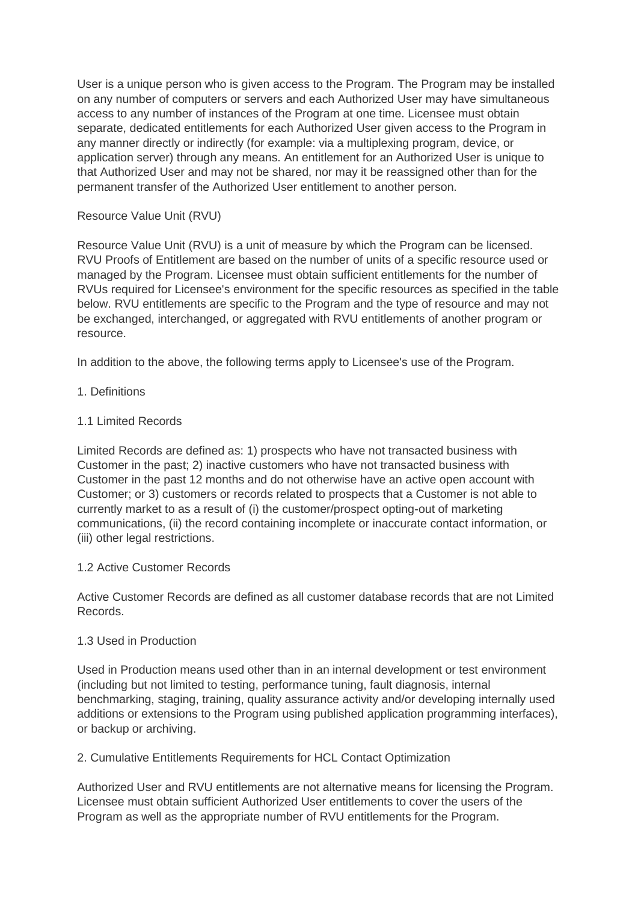User is a unique person who is given access to the Program. The Program may be installed on any number of computers or servers and each Authorized User may have simultaneous access to any number of instances of the Program at one time. Licensee must obtain separate, dedicated entitlements for each Authorized User given access to the Program in any manner directly or indirectly (for example: via a multiplexing program, device, or application server) through any means. An entitlement for an Authorized User is unique to that Authorized User and may not be shared, nor may it be reassigned other than for the permanent transfer of the Authorized User entitlement to another person.

## Resource Value Unit (RVU)

Resource Value Unit (RVU) is a unit of measure by which the Program can be licensed. RVU Proofs of Entitlement are based on the number of units of a specific resource used or managed by the Program. Licensee must obtain sufficient entitlements for the number of RVUs required for Licensee's environment for the specific resources as specified in the table below. RVU entitlements are specific to the Program and the type of resource and may not be exchanged, interchanged, or aggregated with RVU entitlements of another program or resource.

In addition to the above, the following terms apply to Licensee's use of the Program.

1. Definitions

# 1.1 Limited Records

Limited Records are defined as: 1) prospects who have not transacted business with Customer in the past; 2) inactive customers who have not transacted business with Customer in the past 12 months and do not otherwise have an active open account with Customer; or 3) customers or records related to prospects that a Customer is not able to currently market to as a result of (i) the customer/prospect opting-out of marketing communications, (ii) the record containing incomplete or inaccurate contact information, or (iii) other legal restrictions.

## 1.2 Active Customer Records

Active Customer Records are defined as all customer database records that are not Limited Records.

## 1.3 Used in Production

Used in Production means used other than in an internal development or test environment (including but not limited to testing, performance tuning, fault diagnosis, internal benchmarking, staging, training, quality assurance activity and/or developing internally used additions or extensions to the Program using published application programming interfaces), or backup or archiving.

2. Cumulative Entitlements Requirements for HCL Contact Optimization

Authorized User and RVU entitlements are not alternative means for licensing the Program. Licensee must obtain sufficient Authorized User entitlements to cover the users of the Program as well as the appropriate number of RVU entitlements for the Program.